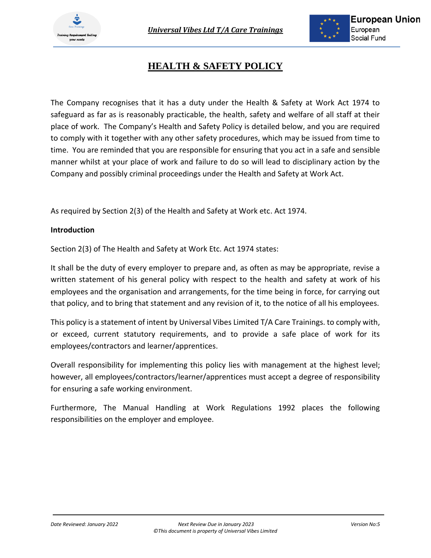

# **HEALTH & SAFETY POLICY**

The Company recognises that it has a duty under the Health & Safety at Work Act 1974 to safeguard as far as is reasonably practicable, the health, safety and welfare of all staff at their place of work. The Company's Health and Safety Policy is detailed below, and you are required to comply with it together with any other safety procedures, which may be issued from time to time. You are reminded that you are responsible for ensuring that you act in a safe and sensible manner whilst at your place of work and failure to do so will lead to disciplinary action by the Company and possibly criminal proceedings under the Health and Safety at Work Act.

As required by Section 2(3) of the Health and Safety at Work etc. Act 1974.

## **Introduction**

Section 2(3) of The Health and Safety at Work Etc. Act 1974 states:

It shall be the duty of every employer to prepare and, as often as may be appropriate, revise a written statement of his general policy with respect to the health and safety at work of his employees and the organisation and arrangements, for the time being in force, for carrying out that policy, and to bring that statement and any revision of it, to the notice of all his employees.

This policy is a statement of intent by Universal Vibes Limited T/A Care Trainings. to comply with, or exceed, current statutory requirements, and to provide a safe place of work for its employees/contractors and learner/apprentices.

Overall responsibility for implementing this policy lies with management at the highest level; however, all employees/contractors/learner/apprentices must accept a degree of responsibility for ensuring a safe working environment.

Furthermore, The Manual Handling at Work Regulations 1992 places the following responsibilities on the employer and employee.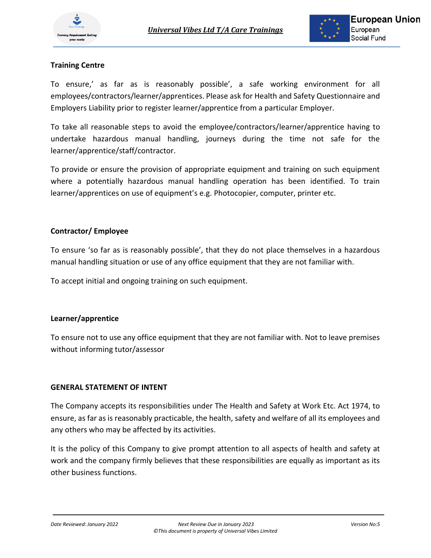

## **Training Centre**

To ensure,' as far as is reasonably possible', a safe working environment for all employees/contractors/learner/apprentices. Please ask for Health and Safety Questionnaire and Employers Liability prior to register learner/apprentice from a particular Employer.

To take all reasonable steps to avoid the employee/contractors/learner/apprentice having to undertake hazardous manual handling, journeys during the time not safe for the learner/apprentice/staff/contractor.

To provide or ensure the provision of appropriate equipment and training on such equipment where a potentially hazardous manual handling operation has been identified. To train learner/apprentices on use of equipment's e.g. Photocopier, computer, printer etc.

## **Contractor/ Employee**

To ensure 'so far as is reasonably possible', that they do not place themselves in a hazardous manual handling situation or use of any office equipment that they are not familiar with.

To accept initial and ongoing training on such equipment.

## **Learner/apprentice**

To ensure not to use any office equipment that they are not familiar with. Not to leave premises without informing tutor/assessor

## **GENERAL STATEMENT OF INTENT**

The Company accepts its responsibilities under The Health and Safety at Work Etc. Act 1974, to ensure, as far as is reasonably practicable, the health, safety and welfare of all its employees and any others who may be affected by its activities.

It is the policy of this Company to give prompt attention to all aspects of health and safety at work and the company firmly believes that these responsibilities are equally as important as its other business functions.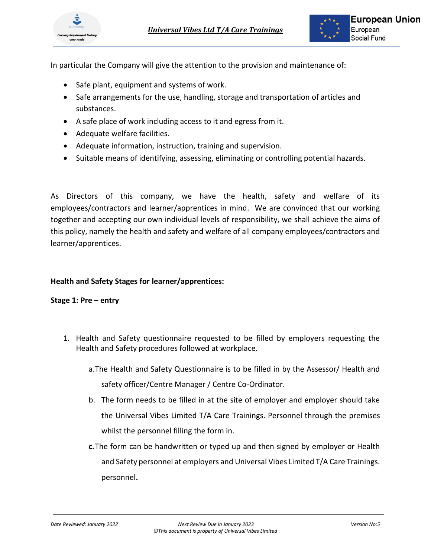

In particular the Company will give the attention to the provision and maintenance of:

- Safe plant, equipment and systems of work.
- Safe arrangements for the use, handling, storage and transportation of articles and substances.
- A safe place of work including access to it and egress from it.
- Adequate welfare facilities.
- Adequate information, instruction, training and supervision.
- Suitable means of identifying, assessing, eliminating or controlling potential hazards.

As Directors of this company, we have the health, safety and welfare of its employees/contractors and learner/apprentices in mind. We are convinced that our working together and accepting our own individual levels of responsibility, we shall achieve the aims of this policy, namely the health and safety and welfare of all company employees/contractors and learner/apprentices.

## **Health and Safety Stages for learner/apprentices:**

#### **Stage 1: Pre – entry**

- 1. Health and Safety questionnaire requested to be filled by employers requesting the Health and Safety procedures followed at workplace.
	- a.The Health and Safety Questionnaire is to be filled in by the Assessor/ Health and safety officer/Centre Manager / Centre Co-Ordinator.
	- b. The form needs to be filled in at the site of employer and employer should take the Universal Vibes Limited T/A Care Trainings. Personnel through the premises whilst the personnel filling the form in.
	- **c.**The form can be handwritten or typed up and then signed by employer or Health and Safety personnel at employers and Universal Vibes Limited T/A Care Trainings. personnel**.**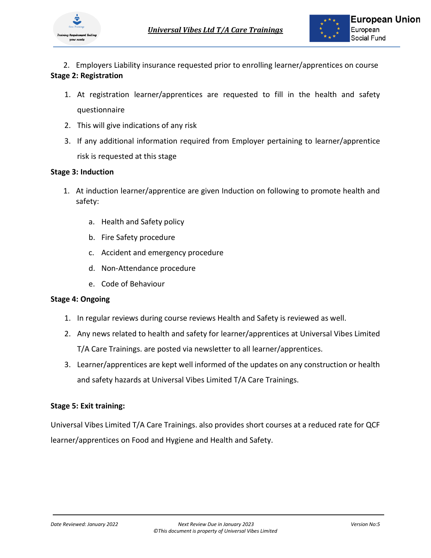

2. Employers Liability insurance requested prior to enrolling learner/apprentices on course **Stage 2: Registration** 

- 1. At registration learner/apprentices are requested to fill in the health and safety questionnaire
- 2. This will give indications of any risk
- 3. If any additional information required from Employer pertaining to learner/apprentice risk is requested at this stage

## **Stage 3: Induction**

- 1. At induction learner/apprentice are given Induction on following to promote health and safety:
	- a. Health and Safety policy
	- b. Fire Safety procedure
	- c. Accident and emergency procedure
	- d. Non-Attendance procedure
	- e. Code of Behaviour

## **Stage 4: Ongoing**

- 1. In regular reviews during course reviews Health and Safety is reviewed as well.
- 2. Any news related to health and safety for learner/apprentices at Universal Vibes Limited T/A Care Trainings. are posted via newsletter to all learner/apprentices.
- 3. Learner/apprentices are kept well informed of the updates on any construction or health and safety hazards at Universal Vibes Limited T/A Care Trainings.

## **Stage 5: Exit training:**

Universal Vibes Limited T/A Care Trainings. also provides short courses at a reduced rate for QCF learner/apprentices on Food and Hygiene and Health and Safety.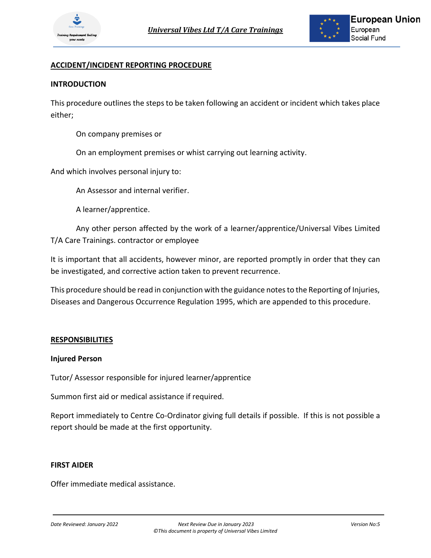

## **ACCIDENT/INCIDENT REPORTING PROCEDURE**

#### **INTRODUCTION**

This procedure outlines the steps to be taken following an accident or incident which takes place either;

On company premises or

On an employment premises or whist carrying out learning activity.

And which involves personal injury to:

An Assessor and internal verifier.

A learner/apprentice.

Any other person affected by the work of a learner/apprentice/Universal Vibes Limited T/A Care Trainings. contractor or employee

It is important that all accidents, however minor, are reported promptly in order that they can be investigated, and corrective action taken to prevent recurrence.

This procedure should be read in conjunction with the guidance notes to the Reporting of Injuries, Diseases and Dangerous Occurrence Regulation 1995, which are appended to this procedure.

#### **RESPONSIBILITIES**

#### **Injured Person**

Tutor/ Assessor responsible for injured learner/apprentice

Summon first aid or medical assistance if required.

Report immediately to Centre Co-Ordinator giving full details if possible. If this is not possible a report should be made at the first opportunity.

#### **FIRST AIDER**

Offer immediate medical assistance.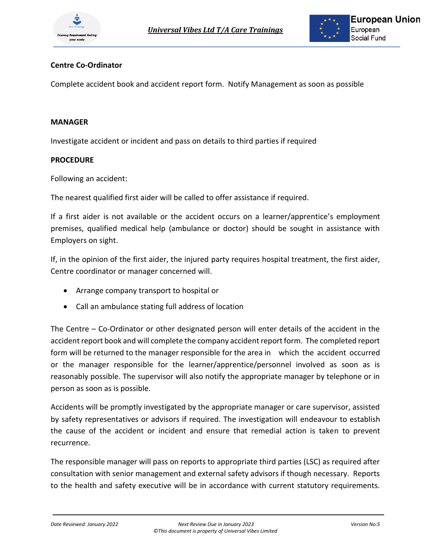

## **Centre Co-Ordinator**

Complete accident book and accident report form. Notify Management as soon as possible

#### **MANAGER**

Investigate accident or incident and pass on details to third parties if required

#### **PROCEDURE**

Following an accident:

The nearest qualified first aider will be called to offer assistance if required.

If a first aider is not available or the accident occurs on a learner/apprentice's employment premises, qualified medical help (ambulance or doctor) should be sought in assistance with Employers on sight.

If, in the opinion of the first aider, the injured party requires hospital treatment, the first aider, Centre coordinator or manager concerned will.

- Arrange company transport to hospital or
- Call an ambulance stating full address of location

The Centre – Co-Ordinator or other designated person will enter details of the accident in the accident report book and will complete the company accident report form. The completed report form will be returned to the manager responsible for the area in which the accident occurred or the manager responsible for the learner/apprentice/personnel involved as soon as is reasonably possible. The supervisor will also notify the appropriate manager by telephone or in person as soon as is possible.

Accidents will be promptly investigated by the appropriate manager or care supervisor, assisted by safety representatives or advisors if required. The investigation will endeavour to establish the cause of the accident or incident and ensure that remedial action is taken to prevent recurrence.

The responsible manager will pass on reports to appropriate third parties (LSC) as required after consultation with senior management and external safety advisors if though necessary. Reports to the health and safety executive will be in accordance with current statutory requirements.